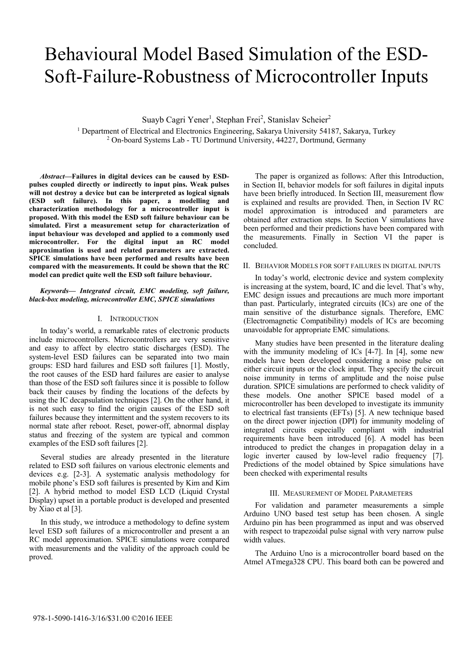# Behavioural Model Based Simulation of the ESD-Soft-Failure-Robustness of Microcontroller Inputs

Suayb Cagri Yener<sup>1</sup>, Stephan Frei<sup>2</sup>, Stanislav Scheier<sup>2</sup>

<sup>1</sup> Department of Electrical and Electronics Engineering, Sakarya University 54187, Sakarya, Turkey  $\frac{2 \text{ On-body}}{2 \text{ On-body}}$ On-board Systems Lab - TU Dortmund University, 44227, Dortmund, Germany

*Abstract***—Failures in digital devices can be caused by ESDpulses coupled directly or indirectly to input pins. Weak pulses will not destroy a device but can be interpreted as logical signals (ESD soft failure). In this paper, a modelling and characterization methodology for a microcontroller input is proposed. With this model the ESD soft failure behaviour can be simulated. First a measurement setup for characterization of input behaviour was developed and applied to a commonly used microcontroller. For the digital input an RC model approximation is used and related parameters are extracted. SPICE simulations have been performed and results have been compared with the measurements. It could be shown that the RC model can predict quite well the ESD soft failure behaviour.** 

## *Keywords— Integrated circuit, EMC modeling, soft failure, black-box modeling, microcontroller EMC, SPICE simulations*

## I. INTRODUCTION

In today's world, a remarkable rates of electronic products include microcontrollers. Microcontrollers are very sensitive and easy to affect by electro static discharges (ESD). The system-level ESD failures can be separated into two main groups: ESD hard failures and ESD soft failures [1]. Mostly, the root causes of the ESD hard failures are easier to analyse than those of the ESD soft failures since it is possible to follow back their causes by finding the locations of the defects by using the IC decapsulation techniques [2]. On the other hand, it is not such easy to find the origin causes of the ESD soft failures because they intermittent and the system recovers to its normal state after reboot. Reset, power-off, abnormal display status and freezing of the system are typical and common examples of the ESD soft failures [2].

Several studies are already presented in the literature related to ESD soft failures on various electronic elements and devices e.g. [2-3]. A systematic analysis methodology for mobile phone's ESD soft failures is presented by Kim and Kim [2]. A hybrid method to model ESD LCD (Liquid Crystal) Display) upset in a portable product is developed and presented by Xiao et al [3].

In this study, we introduce a methodology to define system level ESD soft failures of a microcontroller and present a an RC model approximation. SPICE simulations were compared with measurements and the validity of the approach could be proved.

The paper is organized as follows: After this Introduction, in Section II, behavior models for soft failures in digital inputs have been briefly introduced. In Section III, measurement flow is explained and results are provided. Then, in Section IV RC model approximation is introduced and parameters are obtained after extraction steps. In Section V simulations have been performed and their predictions have been compared with the measurements. Finally in Section VI the paper is concluded.

## II. BEHAVIOR MODELS FOR SOFT FAILURES IN DIGITAL INPUTS

In today's world, electronic device and system complexity is increasing at the system, board, IC and die level. That's why, EMC design issues and precautions are much more important than past. Particularly, integrated circuits (ICs) are one of the main sensitive of the disturbance signals. Therefore, EMC (Electromagnetic Compatibility) models of ICs are becoming unavoidable for appropriate EMC simulations.

Many studies have been presented in the literature dealing with the immunity modeling of ICs [4-7]. In [4], some new models have been developed considering a noise pulse on either circuit inputs or the clock input. They specify the circuit noise immunity in terms of amplitude and the noise pulse duration. SPICE simulations are performed to check validity of these models. One another SPICE based model of a microcontroller has been developed to investigate its immunity to electrical fast transients (EFTs) [5]. A new technique based on the direct power injection (DPI) for immunity modeling of integrated circuits especially compliant with industrial requirements have been introduced [6]. A model has been introduced to predict the changes in propagation delay in a logic inverter caused by low-level radio frequency [7]. Predictions of the model obtained by Spice simulations have been checked with experimental results

### III. MEASUREMENT OF MODEL PARAMETERS

For validation and parameter measurements a simple Arduino UNO based test setup has been chosen. A single Arduino pin has been programmed as input and was observed with respect to trapezoidal pulse signal with very narrow pulse width values.

The Arduino Uno is a microcontroller board based on the Atmel ATmega328 CPU. This board both can be powered and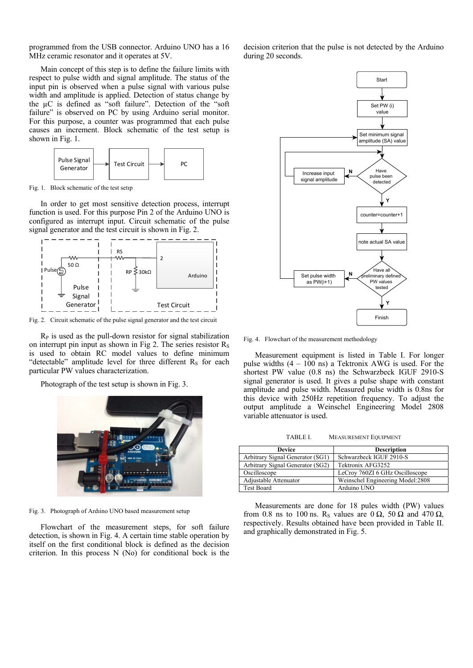programmed from the USB connector. Arduino UNO has a 16 MHz ceramic resonator and it operates at 5V.

Main concept of this step is to define the failure limits with respect to pulse width and signal amplitude. The status of the input pin is observed when a pulse signal with various pulse width and amplitude is applied. Detection of status change by the  $\mu$ C is defined as "soft failure". Detection of the "soft" failure" is observed on PC by using Arduino serial monitor. For this purpose, a counter was programmed that each pulse causes an increment. Block schematic of the test setup is shown in Fig. 1.



Fig. 1. Block schematic of the test setıp

In order to get most sensitive detection process, interrupt function is used. For this purpose Pin 2 of the Arduino UNO is configured as interrupt input. Circuit schematic of the pulse signal generator and the test circuit is shown in Fig. 2.



Fig. 2. Circuit schematic of the pulse signal generator and the test circuit

 $R<sub>P</sub>$  is used as the pull-down resistor for signal stabilization on interrupt pin input as shown in Fig 2. The series resistor  $R<sub>S</sub>$ is used to obtain RC model values to define minimum "detectable" amplitude level for three different  $R<sub>s</sub>$  for each particular PW values characterization.

Photograph of the test setup is shown in Fig. 3.



Fig. 3. Photograph of Ardıino UNO based measurement setup

Flowchart of the measurement steps, for soft failure detection, is shown in Fig. 4. A certain time stable operation by itself on the first conditional block is defined as the decision criterion. In this process N (No) for conditional bock is the

decision criterion that the pulse is not detected by the Arduino during 20 seconds.



Fig. 4. Flowchart of the measurement methodology

Measurement equipment is listed in Table I. For longer pulse widths  $(4 - 100 \text{ ns})$  a Tektronix AWG is used. For the shortest PW value (0.8 ns) the Schwarzbeck IGUF 2910-S signal generator is used. It gives a pulse shape with constant amplitude and pulse width. Measured pulse width is 0.8ns for this device with 250Hz repetition frequency. To adjust the output amplitude a Weinschel Engineering Model 2808 variable attenuator is used.

TABLE I. MEASUREMENT EQUIPMENT

| <b>Device</b>                    | <b>Description</b>                |  |
|----------------------------------|-----------------------------------|--|
| Arbitrary Signal Generator (SG1) | Schwarzbeck IGUF 2910-S           |  |
| Arbitrary Signal Generator (SG2) | Tektronix AFG3252                 |  |
| Oscilloscope                     | LeCroy 760ZI 6 GHz Oscilloscope   |  |
| Adjustable Attenuator            | Weinschel Engineering Model: 2808 |  |
| <b>Test Board</b>                | Arduino UNO                       |  |

Measurements are done for 18 pules width (PW) values from 0.8 ns to 100 ns. R<sub>s</sub> values are 0  $\Omega$ , 50  $\Omega$  and 470  $\Omega$ , respectively. Results obtained have been provided in Table II. and graphically demonstrated in Fig. 5.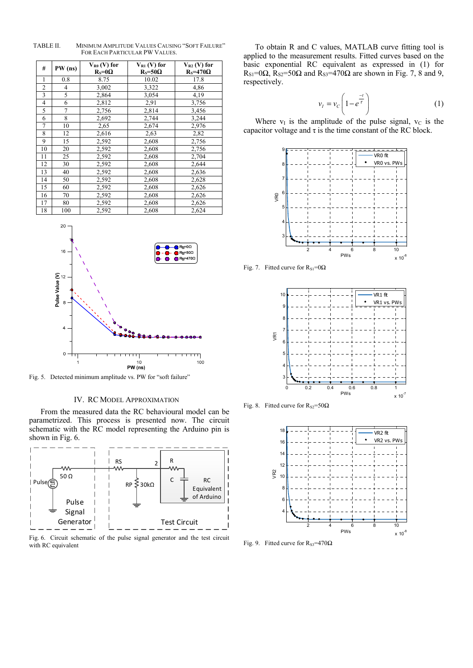| #              | PW (ns) | $V_{R0}$ (V) for<br>$R_S = 0.02$ | $V_{R1}$ (V) for<br>$R_S = 50\Omega$ | $V_{R2}$ (V) for<br>$R_S = 470\Omega$ |
|----------------|---------|----------------------------------|--------------------------------------|---------------------------------------|
| 1              | 0.8     | 8.75                             | 10.02                                | 17.8                                  |
| $\overline{2}$ | 4       | 3,002                            | 3,322                                | 4,86                                  |
| 3              | 5       | 2,864                            | 3,054                                | 4,19                                  |
| 4              | 6       | 2,812                            | 2,91                                 | 3,756                                 |
| 5              | 7       | 2,756                            | 2,814                                | 3,456                                 |
| 6              | 8       | 2,692                            | 2,744                                | 3,244                                 |
| $\overline{7}$ | 10      | 2,65                             | 2,674                                | 2,976                                 |
| 8              | 12      | 2,616                            | 2,63                                 | 2,82                                  |
| 9              | 15      | 2,592                            | 2,608                                | 2,756                                 |
| 10             | 20      | 2,592                            | 2,608                                | 2,756                                 |
| 11             | 25      | 2,592                            | 2,608                                | 2,704                                 |
| 12             | 30      | 2,592                            | 2,608                                | 2,644                                 |
| 13             | 40      | 2,592                            | 2,608                                | 2,636                                 |
| 14             | 50      | 2,592                            | 2,608                                | 2,628                                 |
| 15             | 60      | 2,592                            | 2,608                                | 2,626                                 |
| 16             | 70      | 2,592                            | 2,608                                | 2,626                                 |
| 17             | 80      | 2,592                            | 2,608                                | 2,626                                 |
| 18             | 100     | 2,592                            | 2,608                                | 2,624                                 |

TABLE II. MINIMUM AMPLITUDE VALUES CAUSING "SOFT FAILURE" FOR EACH PARTICULAR PW VALUES.



Fig. 5. Detected minimum amplitude vs. PW for "soft failure"

20

## IV. RC MODEL APPROXIMATION

From the measured data the RC behavioural model can be parametrized. This process is presented now. The circuit schematic with the RC model representing the Arduino pin is shown in Fig. 6.



Fig. 6. Circuit schematic of the pulse signal generator and the test circuit with RC equivalent

To obtain R and C values, MATLAB curve fitting tool is applied to the measurement results. Fitted curves based on the basic exponential RC equivalent as expressed in (1) for  $R_{S1}$ =0Ω,  $R_{S2}$ =50Ω and  $R_{S3}$ =470Ω are shown in Fig. 7, 8 and 9, respectively.

$$
v_I = v_C \left( 1 - e^{\frac{-t}{\tau}} \right) \tag{1}
$$

Where  $v_I$  is the amplitude of the pulse signal,  $v_C$  is the capacitor voltage and  $\tau$  is the time constant of the RC block.



Fig. 7. Fitted curve for  $R_{S1}=0\Omega$ 



Fig. 8. Fitted curve for  $R_{S2}$ =50 $\Omega$ 



Fig. 9. Fitted curve for  $R_{\rm S3}$ =470 $\Omega$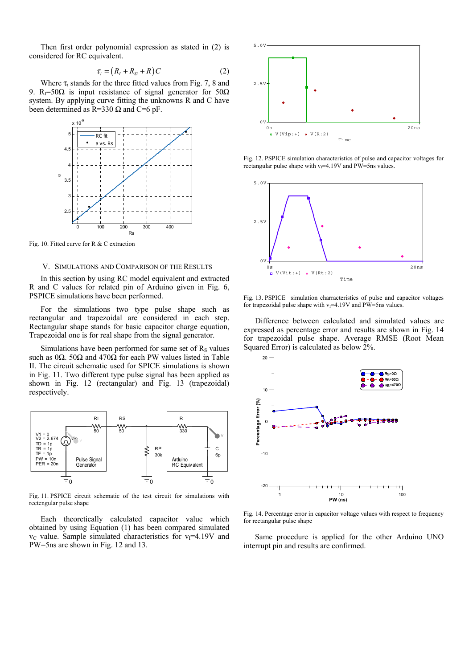Then first order polynomial expression as stated in (2) is considered for RC equivalent.

$$
\tau_i = (R_I + R_{Si} + R)C \tag{2}
$$

Where  $\tau_i$  stands for the three fitted values from Fig. 7, 8 and 9. R<sub>I</sub>=50Ω is input resistance of signal generator for 50Ω system. By applying curve fitting the unknowns R and C have been determined as  $R=330 \Omega$  and C=6 pF.



Fig. 10. Fitted curve for R & C extraction

#### V. SIMULATIONS AND COMPARISON OF THE RESULTS

In this section by using RC model equivalent and extracted R and C values for related pin of Arduino given in Fig. 6, PSPICE simulations have been performed.

For the simulations two type pulse shape such as rectangular and trapezoidal are considered in each step. Rectangular shape stands for basic capacitor charge equation, Trapezoidal one is for real shape from the signal generator.

Simulations have been performed for same set of  $R<sub>S</sub>$  values such as  $0\Omega$ . 50 $\Omega$  and 470 $\Omega$  for each PW values listed in Table II. The circuit schematic used for SPICE simulations is shown in Fig. 11. Two different type pulse signal has been applied as shown in Fig. 12 (rectangular) and Fig. 13 (trapezoidal) respectively.



Fig. 11. PSPICE circuit schematic of the test circuit for simulations with rectengular pulse shape

Each theoretically calculated capacitor value which obtained by using Equation (1) has been compared simulated  $v<sub>C</sub>$  value. Sample simulated characteristics for  $v<sub>I</sub>=4.19V$  and PW=5ns are shown in Fig. 12 and 13.



Fig. 12. PSPICE simulation characteristics of pulse and capacitor voltages for rectangular pulse shape with  $v_1$ =4.19V and PW=5ns values.



Fig. 13. PSPICE simulation charracteristics of pulse and capacitor voltages for trapezoidal pulse shape with  $v_1$ =4.19V and PW=5ns values.

Difference between calculated and simulated values are expressed as percentage error and results are shown in Fig. 14 for trapezoidal pulse shape. Average RMSE (Root Mean Squared Error) is calculated as below 2%.



Fig. 14. Percentage error in capacitor voltage values with respect to frequency for rectangular pulse shape

Same procedure is applied for the other Arduino UNO interrupt pin and results are confirmed.